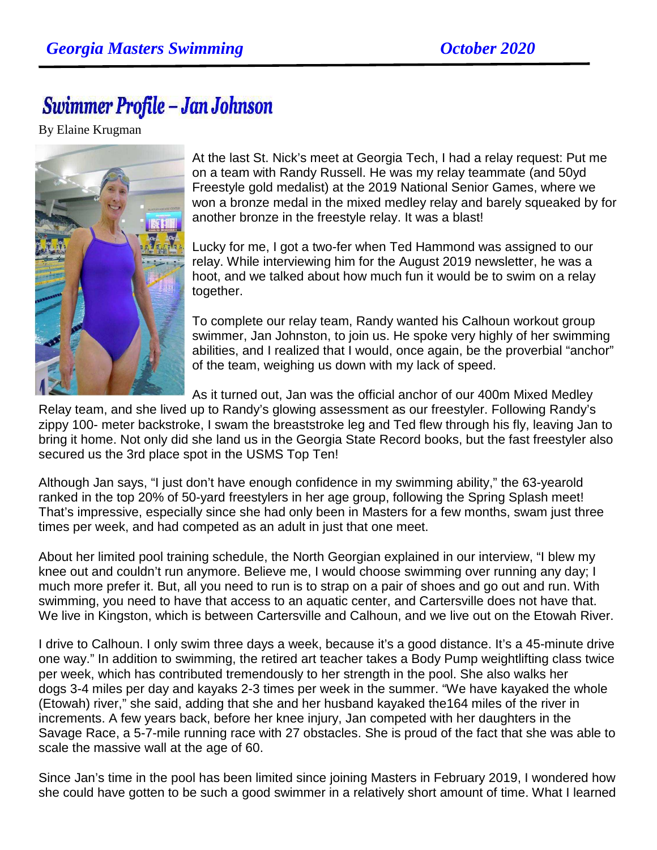## Swimmer Profile - Jan Johnson

By Elaine Krugman



At the last St. Nick's meet at Georgia Tech, I had a relay request: Put me on a team with Randy Russell. He was my relay teammate (and 50yd Freestyle gold medalist) at the 2019 National Senior Games, where we won a bronze medal in the mixed medley relay and barely squeaked by for another bronze in the freestyle relay. It was a blast!

Lucky for me, I got a two-fer when Ted Hammond was assigned to our relay. While interviewing him for the August 2019 newsletter, he was a hoot, and we talked about how much fun it would be to swim on a relay together.

To complete our relay team, Randy wanted his Calhoun workout group swimmer, Jan Johnston, to join us. He spoke very highly of her swimming abilities, and I realized that I would, once again, be the proverbial "anchor" of the team, weighing us down with my lack of speed.

As it turned out, Jan was the official anchor of our 400m Mixed Medley

Relay team, and she lived up to Randy's glowing assessment as our freestyler. Following Randy's zippy 100- meter backstroke, I swam the breaststroke leg and Ted flew through his fly, leaving Jan to bring it home. Not only did she land us in the Georgia State Record books, but the fast freestyler also secured us the 3rd place spot in the USMS Top Ten!

Although Jan says, "I just don't have enough confidence in my swimming ability," the 63-yearold ranked in the top 20% of 50-yard freestylers in her age group, following the Spring Splash meet! That's impressive, especially since she had only been in Masters for a few months, swam just three times per week, and had competed as an adult in just that one meet.

About her limited pool training schedule, the North Georgian explained in our interview, "I blew my knee out and couldn't run anymore. Believe me, I would choose swimming over running any day; I much more prefer it. But, all you need to run is to strap on a pair of shoes and go out and run. With swimming, you need to have that access to an aquatic center, and Cartersville does not have that. We live in Kingston, which is between Cartersville and Calhoun, and we live out on the Etowah River.

I drive to Calhoun. I only swim three days a week, because it's a good distance. It's a 45-minute drive one way." In addition to swimming, the retired art teacher takes a Body Pump weightlifting class twice per week, which has contributed tremendously to her strength in the pool. She also walks her dogs 3-4 miles per day and kayaks 2-3 times per week in the summer. "We have kayaked the whole (Etowah) river," she said, adding that she and her husband kayaked the164 miles of the river in increments. A few years back, before her knee injury, Jan competed with her daughters in the Savage Race, a 5-7-mile running race with 27 obstacles. She is proud of the fact that she was able to scale the massive wall at the age of 60.

Since Jan's time in the pool has been limited since joining Masters in February 2019, I wondered how she could have gotten to be such a good swimmer in a relatively short amount of time. What I learned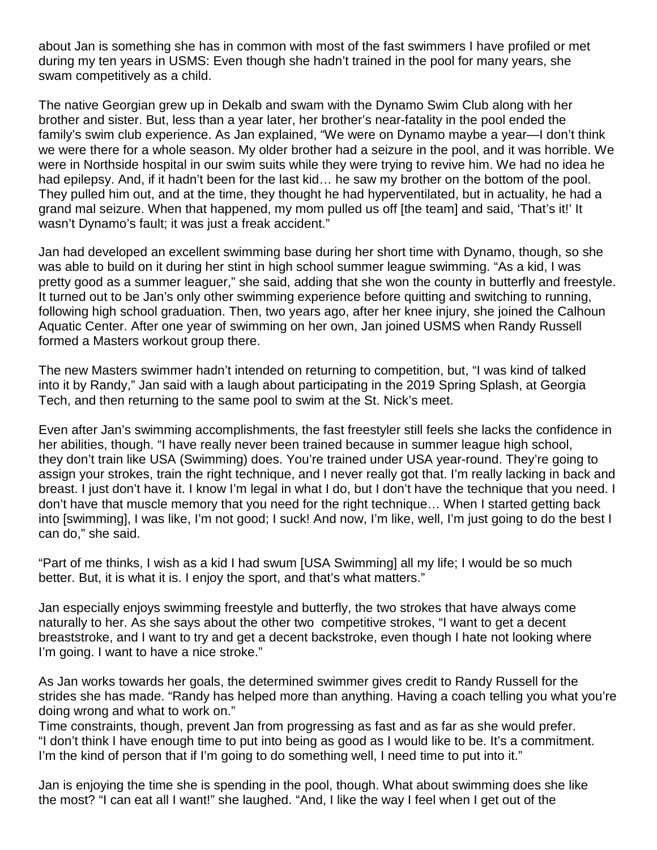about Jan is something she has in common with most of the fast swimmers I have profiled or met during my ten years in USMS: Even though she hadn't trained in the pool for many years, she swam competitively as a child.

The native Georgian grew up in Dekalb and swam with the Dynamo Swim Club along with her brother and sister. But, less than a year later, her brother's near-fatality in the pool ended the family's swim club experience. As Jan explained, "We were on Dynamo maybe a year—I don't think we were there for a whole season. My older brother had a seizure in the pool, and it was horrible. We were in Northside hospital in our swim suits while they were trying to revive him. We had no idea he had epilepsy. And, if it hadn't been for the last kid… he saw my brother on the bottom of the pool. They pulled him out, and at the time, they thought he had hyperventilated, but in actuality, he had a grand mal seizure. When that happened, my mom pulled us off [the team] and said, 'That's it!' It wasn't Dynamo's fault; it was just a freak accident."

Jan had developed an excellent swimming base during her short time with Dynamo, though, so she was able to build on it during her stint in high school summer league swimming. "As a kid, I was pretty good as a summer leaguer," she said, adding that she won the county in butterfly and freestyle. It turned out to be Jan's only other swimming experience before quitting and switching to running, following high school graduation. Then, two years ago, after her knee injury, she joined the Calhoun Aquatic Center. After one year of swimming on her own, Jan joined USMS when Randy Russell formed a Masters workout group there.

The new Masters swimmer hadn't intended on returning to competition, but, "I was kind of talked into it by Randy," Jan said with a laugh about participating in the 2019 Spring Splash, at Georgia Tech, and then returning to the same pool to swim at the St. Nick's meet.

Even after Jan's swimming accomplishments, the fast freestyler still feels she lacks the confidence in her abilities, though. "I have really never been trained because in summer league high school, they don't train like USA (Swimming) does. You're trained under USA year-round. They're going to assign your strokes, train the right technique, and I never really got that. I'm really lacking in back and breast. I just don't have it. I know I'm legal in what I do, but I don't have the technique that you need. I don't have that muscle memory that you need for the right technique… When I started getting back into [swimming], I was like, I'm not good; I suck! And now, I'm like, well, I'm just going to do the best I can do," she said.

"Part of me thinks, I wish as a kid I had swum [USA Swimming] all my life; I would be so much better. But, it is what it is. I enjoy the sport, and that's what matters."

Jan especially enjoys swimming freestyle and butterfly, the two strokes that have always come naturally to her. As she says about the other two competitive strokes, "I want to get a decent breaststroke, and I want to try and get a decent backstroke, even though I hate not looking where I'm going. I want to have a nice stroke."

As Jan works towards her goals, the determined swimmer gives credit to Randy Russell for the strides she has made. "Randy has helped more than anything. Having a coach telling you what you're doing wrong and what to work on."

Time constraints, though, prevent Jan from progressing as fast and as far as she would prefer. "I don't think I have enough time to put into being as good as I would like to be. It's a commitment. I'm the kind of person that if I'm going to do something well, I need time to put into it."

Jan is enjoying the time she is spending in the pool, though. What about swimming does she like the most? "I can eat all I want!" she laughed. "And, I like the way I feel when I get out of the